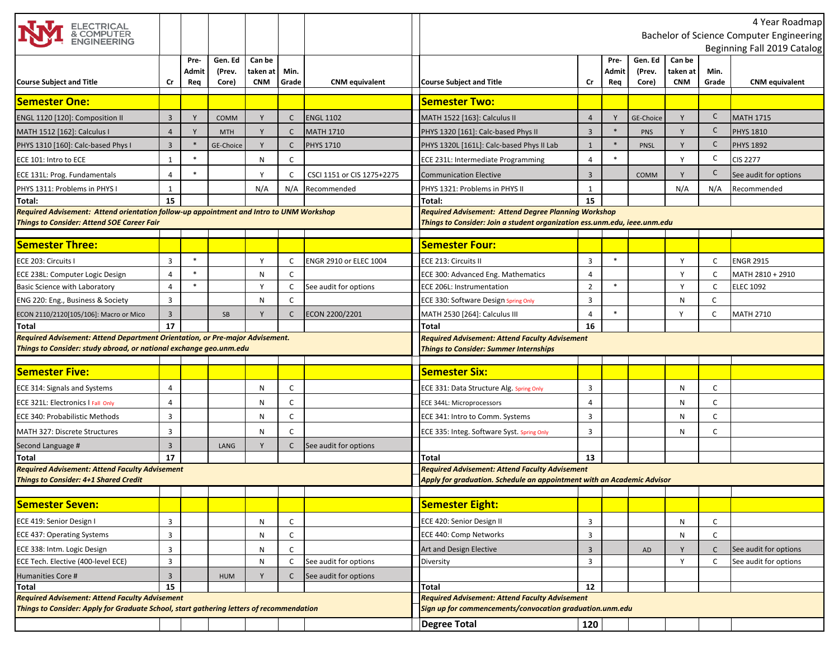| ELECTRICAL<br>& COMPUTER<br>ENGINEERING                                                                                                            |                |               |            |            |              |                            | 4 Year Roadmap<br>Bachelor of Science Computer Engineering                                                        |                |        |             |            |              |                       |
|----------------------------------------------------------------------------------------------------------------------------------------------------|----------------|---------------|------------|------------|--------------|----------------------------|-------------------------------------------------------------------------------------------------------------------|----------------|--------|-------------|------------|--------------|-----------------------|
|                                                                                                                                                    |                |               |            |            |              |                            | Beginning Fall 2019 Catalog                                                                                       |                |        |             |            |              |                       |
|                                                                                                                                                    |                | Pre-          | Gen. Ed    | Can be     |              |                            |                                                                                                                   |                | Pre-   | Gen. Ed     | Can be     |              |                       |
|                                                                                                                                                    |                | Admit         | (Prev.     | taken at   | Min.         |                            |                                                                                                                   |                | Admit  | (Prev.      | taken at   | Min.         |                       |
| <b>Course Subject and Title</b>                                                                                                                    | Cr             | Req           | Core)      | <b>CNM</b> | Grade        | <b>CNM</b> equivalent      | <b>Course Subject and Title</b>                                                                                   | Cr             | Req    | Core)       | <b>CNM</b> | Grade        | <b>CNM</b> equivalent |
| <b>Semester One:</b>                                                                                                                               |                |               |            |            |              |                            | <b>Semester Two:</b>                                                                                              |                |        |             |            |              |                       |
| ENGL 1120 [120]: Composition II                                                                                                                    | $\overline{3}$ |               | COMM       |            | $\mathsf{C}$ | <b>ENGL 1102</b>           | MATH 1522 [163]: Calculus II                                                                                      | $\overline{4}$ | Y      | GE-Choice   | Y          | C            | <b>MATH 1715</b>      |
| MATH 1512 [162]: Calculus I                                                                                                                        | $\overline{4}$ | Y             | <b>MTH</b> | Y          | $\mathsf{C}$ | <b>MATH 1710</b>           | PHYS 1320 [161]: Calc-based Phys II                                                                               | $\overline{3}$ | $*$    | PNS         | Y          | $\mathsf C$  | <b>PHYS 1810</b>      |
| PHYS 1310 [160]: Calc-based Phys I                                                                                                                 | $\overline{3}$ | $\frac{1}{2}$ | GE-Choice  | Y          | $\mathsf{C}$ | <b>PHYS 1710</b>           | PHYS 1320L [161L]: Calc-based Phys II Lab                                                                         | $\mathbf{1}$   | $\ast$ | <b>PNSL</b> | Y          | $\mathsf C$  | <b>PHYS 1892</b>      |
| ECE 101: Intro to ECE                                                                                                                              | $\mathbf{1}$   | $\ast$        |            | N          | C            |                            | ECE 231L: Intermediate Programming                                                                                | 4              | $\ast$ |             | Y          | C            | <b>CIS 2277</b>       |
| ECE 131L: Prog. Fundamentals                                                                                                                       | 4              |               |            |            | C            | CSCI 1151 or CIS 1275+2275 | <b>Communication Elective</b>                                                                                     | 3              |        | COMM        | Y          | $\mathsf C$  | See audit for options |
| PHYS 1311: Problems in PHYS I                                                                                                                      | $\mathbf{1}$   |               |            | N/A        | N/A          | Recommended                | PHYS 1321: Problems in PHYS II                                                                                    | $\mathbf{1}$   |        |             | N/A        | N/A          | Recommended           |
| Total:                                                                                                                                             | 15             |               |            |            |              |                            | Total:                                                                                                            | 15             |        |             |            |              |                       |
| Required Advisement: Attend orientation follow-up appointment and Intro to UNM Workshop                                                            |                |               |            |            |              |                            | <b>Required Advisement: Attend Degree Planning Workshop</b>                                                       |                |        |             |            |              |                       |
| <b>Things to Consider: Attend SOE Career Fair</b>                                                                                                  |                |               |            |            |              |                            | Things to Consider: Join a student organization ess.unm.edu, ieee.unm.edu                                         |                |        |             |            |              |                       |
| <b>Semester Three:</b>                                                                                                                             |                |               |            |            |              |                            | <b>Semester Four:</b>                                                                                             |                |        |             |            |              |                       |
|                                                                                                                                                    |                |               |            |            |              |                            |                                                                                                                   |                |        |             |            |              |                       |
| ECE 203: Circuits I                                                                                                                                | $\overline{3}$ | $\ast$        |            | Y          | C            | ENGR 2910 or ELEC 1004     | ECE 213: Circuits II                                                                                              | 3              | $\ast$ |             | Y          | C            | <b>ENGR 2915</b>      |
| ECE 238L: Computer Logic Design                                                                                                                    | 4              | $\ast$        |            | N          | C            |                            | ECE 300: Advanced Eng. Mathematics                                                                                | 4              |        |             | Y          | C            | MATH 2810 + 2910      |
| <b>Basic Science with Laboratory</b>                                                                                                               | 4              | $\ast$        |            | Y          | $\mathsf{C}$ | See audit for options      | <b>ECE 206L: Instrumentation</b>                                                                                  | $\overline{2}$ | $\ast$ |             | Y          | C            | <b>ELEC 1092</b>      |
| ENG 220: Eng., Business & Society                                                                                                                  | 3              |               |            | N          | C            |                            | ECE 330: Software Design Spring Only                                                                              | 3              |        |             | N          | C            |                       |
| ECON 2110/2120[105/106]: Macro or Mico                                                                                                             | $\overline{3}$ |               | SB         | Υ          | $\mathsf{C}$ | ECON 2200/2201             | MATH 2530 [264]: Calculus III                                                                                     | 4              |        |             | Y          | C            | <b>MATH 2710</b>      |
| <b>Total</b>                                                                                                                                       | 17             |               |            |            |              |                            | <b>Total</b>                                                                                                      | 16             |        |             |            |              |                       |
| Required Advisement: Attend Department Orientation, or Pre-major Advisement.<br>Things to Consider: study abroad, or national exchange geo.unm.edu |                |               |            |            |              |                            | <b>Required Advisement: Attend Faculty Advisement</b><br><b>Things to Consider: Summer Internships</b>            |                |        |             |            |              |                       |
|                                                                                                                                                    |                |               |            |            |              |                            |                                                                                                                   |                |        |             |            |              |                       |
| <b>Semester Five:</b>                                                                                                                              |                |               |            |            |              |                            | <b>Semester Six:</b>                                                                                              |                |        |             |            |              |                       |
| ECE 314: Signals and Systems                                                                                                                       | $\overline{4}$ |               |            | N          | C            |                            | ECE 331: Data Structure Alg. Spring Only                                                                          | 3              |        |             | N          | C            |                       |
| ECE 321L: Electronics I Fall Only                                                                                                                  | 4              |               |            | N          | C            |                            | ECE 344L: Microprocessors                                                                                         | 4              |        |             | N          | $\mathsf{C}$ |                       |
| ECE 340: Probabilistic Methods                                                                                                                     | 3              |               |            | N          | C            |                            | ECE 341: Intro to Comm. Systems                                                                                   | 3              |        |             | N          | C            |                       |
| <b>MATH 327: Discrete Structures</b>                                                                                                               | 3              |               |            | N          | C            |                            | ECE 335: Integ. Software Syst. Spring Only                                                                        | 3              |        |             | Ν          | C            |                       |
| Second Language #                                                                                                                                  | $\overline{3}$ |               | LANG       | Y          | $\mathsf{C}$ | See audit for options      |                                                                                                                   |                |        |             |            |              |                       |
| Total                                                                                                                                              | 17             |               |            |            |              |                            | Total                                                                                                             | 13             |        |             |            |              |                       |
| <b>Required Advisement: Attend Faculty Advisement</b>                                                                                              |                |               |            |            |              |                            | <b>Required Advisement: Attend Faculty Advisement</b>                                                             |                |        |             |            |              |                       |
| <b>Things to Consider: 4+1 Shared Credit</b>                                                                                                       |                |               |            |            |              |                            | Apply for graduation. Schedule an appointment with an Academic Advisor                                            |                |        |             |            |              |                       |
|                                                                                                                                                    |                |               |            |            |              |                            |                                                                                                                   |                |        |             |            |              |                       |
| <b>Semester Seven:</b>                                                                                                                             |                |               |            |            |              |                            | <b>Semester Eight:</b>                                                                                            |                |        |             |            |              |                       |
| ECE 419: Senior Design I                                                                                                                           | 3              |               |            | N          | C            |                            | ECE 420: Senior Design II                                                                                         | 3              |        |             | N          | C            |                       |
| <b>ECE 437: Operating Systems</b>                                                                                                                  | 3              |               |            | N          | $\mathsf{C}$ |                            | ECE 440: Comp Networks                                                                                            | 3              |        |             | N          | C            |                       |
| ECE 338: Intm. Logic Design                                                                                                                        | 3              |               |            | N          | C            |                            | Art and Design Elective                                                                                           | 3              |        | AD          |            | C            | See audit for options |
| ECE Tech. Elective (400-level ECE)                                                                                                                 | 3              |               |            | N          | C            | See audit for options      | Diversity                                                                                                         | 3              |        |             | Y          | C            | See audit for options |
| Humanities Core #                                                                                                                                  | $\overline{3}$ |               | <b>HUM</b> | Y          | $\mathsf{C}$ | See audit for options      |                                                                                                                   |                |        |             |            |              |                       |
| Total                                                                                                                                              | 15             |               |            |            |              |                            | Total                                                                                                             | 12             |        |             |            |              |                       |
| <b>Required Advisement: Attend Faculty Advisement</b><br>Things to Consider: Apply for Graduate School, start gathering letters of recommendation  |                |               |            |            |              |                            | <b>Required Advisement: Attend Faculty Advisement</b><br>Sign up for commencements/convocation graduation.unm.edu |                |        |             |            |              |                       |
|                                                                                                                                                    |                |               |            |            |              |                            | <b>Degree Total</b>                                                                                               | 120            |        |             |            |              |                       |